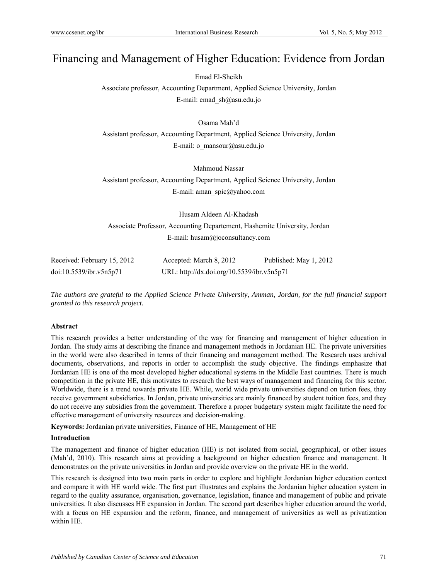# Financing and Management of Higher Education: Evidence from Jordan

Emad El-Sheikh

Associate professor, Accounting Department, Applied Science University, Jordan E-mail: emad\_sh@asu.edu.jo

Osama Mah'd

Assistant professor, Accounting Department, Applied Science University, Jordan E-mail: o\_mansour@asu.edu.jo

Mahmoud Nassar

Assistant professor, Accounting Department, Applied Science University, Jordan E-mail: aman\_spic@yahoo.com

Husam Aldeen Al-Khadash Associate Professor, Accounting Departement, Hashemite University, Jordan E-mail: husam@joconsultancy.com

| Received: February 15, 2012 | Accepted: March 8, 2012                    | Published: May 1, 2012 |
|-----------------------------|--------------------------------------------|------------------------|
| doi:10.5539/ibr.v5n5p71     | URL: http://dx.doi.org/10.5539/ibr.v5n5p71 |                        |

*The authors are grateful to the Applied Science Private University, Amman, Jordan, for the full financial support granted to this research project.* 

## **Abstract**

This research provides a better understanding of the way for financing and management of higher education in Jordan. The study aims at describing the finance and management methods in Jordanian HE. The private universities in the world were also described in terms of their financing and management method. The Research uses archival documents, observations, and reports in order to accomplish the study objective. The findings emphasize that Jordanian HE is one of the most developed higher educational systems in the Middle East countries. There is much competition in the private HE, this motivates to research the best ways of management and financing for this sector. Worldwide, there is a trend towards private HE. While, world wide private universities depend on tution fees, they receive government subsidiaries. In Jordan, private universities are mainly financed by student tuition fees, and they do not receive any subsidies from the government. Therefore a proper budgetary system might facilitate the need for effective management of university resources and decision-making.

**Keywords:** Jordanian private universities, Finance of HE, Management of HE

## **Introduction**

The management and finance of higher education (HE) is not isolated from social, geographical, or other issues (Mah'd, 2010). This research aims at providing a background on higher education finance and management. It demonstrates on the private universities in Jordan and provide overview on the private HE in the world.

This research is designed into two main parts in order to explore and highlight Jordanian higher education context and compare it with HE world wide. The first part illustrates and explains the Jordanian higher education system in regard to the quality assurance, organisation, governance, legislation, finance and management of public and private universities. It also discusses HE expansion in Jordan. The second part describes higher education around the world, with a focus on HE expansion and the reform, finance, and management of universities as well as privatization within HE.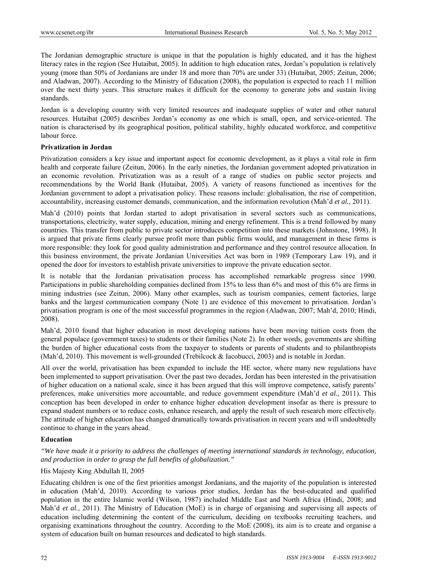The Jordanian demographic structure is unique in that the population is highly educated, and it has the highest literacy rates in the region (See Hutaibat, 2005). In addition to high education rates, Jordan's population is relatively young (more than 50% of Jordanians are under 18 and more than 70% are under 33) (Hutaibat, 2005; Zeitun, 2006; and Aladwan, 2007). According to the Ministry of Education (2008), the population is expected to reach 11 million over the next thirty years. This structure makes it difficult for the economy to generate jobs and sustain living standards.

Jordan is a developing country with very limited resources and inadequate supplies of water and other natural resources. Hutaibat (2005) describes Jordan's economy as one which is small, open, and service-oriented. The nation is characterised by its geographical position, political stability, highly educated workforce, and competitive labour force.

# **Privatization in Jordan**

Privatization considers a key issue and important aspect for economic development, as it plays a vital role in firm health and corporate failure (Zeitun, 2006). In the early nineties, the Jordanian government adopted privatization in an economic revolution. Privatization was as a result of a range of studies on public sector projects and recommendations by the World Bank (Hutaibat, 2005). A variety of reasons functioned as incentives for the Jordanian government to adopt a privatisation policy. These reasons include: globalisation, the rise of competition, accountability, increasing customer demands, communication, and the information revolution (Mah'd *et al.*, 2011).

Mah'd (2010) points that Jordan started to adopt privatisation in several sectors such as communications, transportations, electricity, water supply, education, mining and energy refinement. This is a trend followed by many countries. This transfer from public to private sector introduces competition into these markets (Johnstone, 1998). It is argued that private firms clearly pursue profit more than public firms would, and management in these firms is more responsible: they look for good quality administration and performance and they control resource allocation. In this business environment, the private Jordanian Universities Act was born in 1989 (Temporary Law 19), and it opened the door for investors to establish private universities to improve the private education sector.

It is notable that the Jordanian privatisation process has accomplished remarkable progress since 1990. Participations in public shareholding companies declined from 15% to less than 6% and most of this 6% are firms in mining industries (see Zeitun, 2006). Many other examples, such as tourism companies, cement factories, large banks and the largest communication company (Note 1) are evidence of this movement to privatisation. Jordan's privatisation program is one of the most successful programmes in the region (Aladwan, 2007; Mah'd, 2010; Hindi, 2008).

Mah'd, 2010 found that higher education in most developing nations have been moving tuition costs from the general populace (government taxes) to students or their families (Note 2). In other words, governments are shifting the burden of higher educational costs from the taxpayer to students or parents of students and to philanthropists (Mah'd, 2010). This movement is well-grounded (Trebilcock & Iacobucci, 2003) and is notable in Jordan.

All over the world, privatisation has been expanded to include the HE sector, where many new regulations have been implemented to support privatisation. Over the past two decades, Jordan has been interested in the privatisation of higher education on a national scale, since it has been argued that this will improve competence, satisfy parents' preferences, make universities more accountable, and reduce government expenditure (Mah'd *et al.*, 2011). This conception has been developed in order to enhance higher education development insofar as there is pressure to expand student numbers or to reduce costs, enhance research, and apply the result of such research more effectively. The attitude of higher education has changed dramatically towards privatisation in recent years and will undoubtedly continue to change in the years ahead.

## **Education**

*"We have made it a priority to address the challenges of meeting international standards in technology, education, and production in order to grasp the full benefits of globalization."*

# His Majesty King Abdullah II, 2005

Educating children is one of the first priorities amongst Jordanians, and the majority of the population is interested in education (Mah'd, 2010). According to various prior studies, Jordan has the best-educated and qualified population in the entire Islamic world (Wilson, 1987) included Middle East and North Africa (Hindi, 2008; and Mah'd *et al.*, 2011). The Ministry of Education (MoE) is in charge of organising and supervising all aspects of education including determining the content of the curriculum, deciding on textbooks recruiting teachers, and organising examinations throughout the country. According to the MoE (2008), its aim is to create and organise a system of education built on human resources and dedicated to high standards.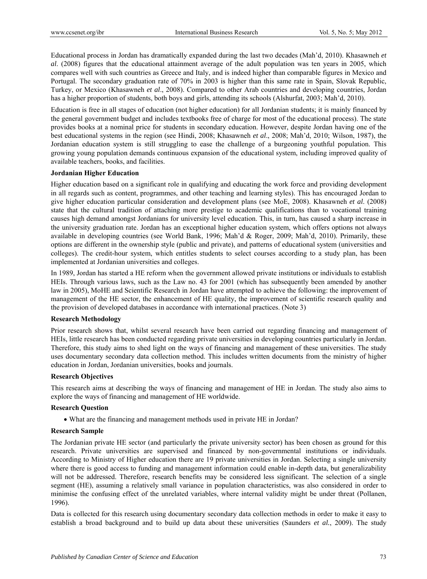Educational process in Jordan has dramatically expanded during the last two decades (Mah'd, 2010). Khasawneh *et al*. (2008) figures that the educational attainment average of the adult population was ten years in 2005, which compares well with such countries as Greece and Italy, and is indeed higher than comparable figures in Mexico and Portugal. The secondary graduation rate of 70% in 2003 is higher than this same rate in Spain, Slovak Republic, Turkey, or Mexico (Khasawneh *et al*., 2008). Compared to other Arab countries and developing countries, Jordan has a higher proportion of students, both boys and girls, attending its schools (Alshurfat, 2003; Mah'd, 2010).

Education is free in all stages of education (not higher education) for all Jordanian students; it is mainly financed by the general government budget and includes textbooks free of charge for most of the educational process). The state provides books at a nominal price for students in secondary education. However, despite Jordan having one of the best educational systems in the region (see Hindi, 2008; Khasawneh *et al*., 2008; Mah'd, 2010; Wilson, 1987), the Jordanian education system is still struggling to ease the challenge of a burgeoning youthful population. This growing young population demands continuous expansion of the educational system, including improved quality of available teachers, books, and facilities.

## **Jordanian Higher Education**

Higher education based on a significant role in qualifying and educating the work force and providing development in all regards such as content, programmes, and other teaching and learning styles). This has encouraged Jordan to give higher education particular consideration and development plans (see MoE, 2008). Khasawneh *et al*. (2008) state that the cultural tradition of attaching more prestige to academic qualifications than to vocational training causes high demand amongst Jordanians for university level education. This, in turn, has caused a sharp increase in the university graduation rate. Jordan has an exceptional higher education system, which offers options not always available in developing countries (see World Bank, 1996; Mah'd & Roger, 2009; Mah'd, 2010). Primarily, these options are different in the ownership style (public and private), and patterns of educational system (universities and colleges). The credit-hour system, which entitles students to select courses according to a study plan, has been implemented at Jordanian universities and colleges.

In 1989, Jordan has started a HE reform when the government allowed private institutions or individuals to establish HEIs. Through various laws, such as the Law no. 43 for 2001 (which has subsequently been amended by another law in 2005), MoHE and Scientific Research in Jordan have attempted to achieve the following: the improvement of management of the HE sector, the enhancement of HE quality, the improvement of scientific research quality and the provision of developed databases in accordance with international practices. (Note 3)

## **Research Methodology**

Prior research shows that, whilst several research have been carried out regarding financing and management of HEIs, little research has been conducted regarding private universities in developing countries particularly in Jordan. Therefore, this study aims to shed light on the ways of financing and management of these universities. The study uses documentary secondary data collection method. This includes written documents from the ministry of higher education in Jordan, Jordanian universities, books and journals.

## **Research Objectives**

This research aims at describing the ways of financing and management of HE in Jordan. The study also aims to explore the ways of financing and management of HE worldwide.

#### **Research Question**

What are the financing and management methods used in private HE in Jordan?

## **Research Sample**

The Jordanian private HE sector (and particularly the private university sector) has been chosen as ground for this research. Private universities are supervised and financed by non-governmental institutions or individuals. According to Ministry of Higher education there are 19 private universities in Jordan. Selecting a single university where there is good access to funding and management information could enable in-depth data, but generalizability will not be addressed. Therefore, research benefits may be considered less significant. The selection of a single segment (HE), assuming a relatively small variance in population characteristics, was also considered in order to minimise the confusing effect of the unrelated variables, where internal validity might be under threat (Pollanen, 1996).

Data is collected for this research using documentary secondary data collection methods in order to make it easy to establish a broad background and to build up data about these universities (Saunders *et al.*, 2009). The study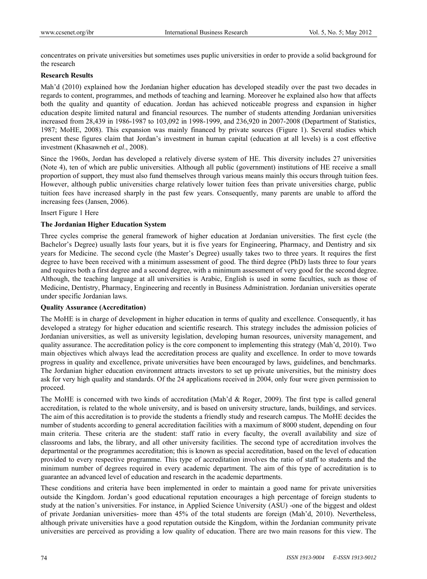concentrates on private universities but sometimes uses puplic universities in order to provide a solid background for the research

# **Research Results**

Mah'd (2010) explained how the Jordanian higher education has developed steadily over the past two decades in regards to content, programmes, and methods of teaching and learning. Moreover he explained also how that affects both the quality and quantity of education. Jordan has achieved noticeable progress and expansion in higher education despite limited natural and financial resources. The number of students attending Jordanian universities increased from 28,439 in 1986-1987 to 103,092 in 1998-1999, and 236,920 in 2007-2008 (Department of Statistics, 1987; MoHE, 2008). This expansion was mainly financed by private sources (Figure 1). Several studies which present these figures claim that Jordan's investment in human capital (education at all levels) is a cost effective investment (Khasawneh *et al*., 2008).

Since the 1960s, Jordan has developed a relatively diverse system of HE. This diversity includes 27 universities (Note 4), ten of which are public universities. Although all public (government) institutions of HE receive a small proportion of support, they must also fund themselves through various means mainly this occurs through tuition fees. However, although public universities charge relatively lower tuition fees than private universities charge, public tuition fees have increased sharply in the past few years. Consequently, many parents are unable to afford the increasing fees (Jansen, 2006).

# Insert Figure 1 Here

# **The Jordanian Higher Education System**

Three cycles comprise the general framework of higher education at Jordanian universities. The first cycle (the Bachelor's Degree) usually lasts four years, but it is five years for Engineering, Pharmacy, and Dentistry and six years for Medicine. The second cycle (the Master's Degree) usually takes two to three years. It requires the first degree to have been received with a minimum assessment of good. The third degree (PhD) lasts three to four years and requires both a first degree and a second degree, with a minimum assessment of very good for the second degree. Although, the teaching language at all universities is Arabic, English is used in some faculties, such as those of Medicine, Dentistry, Pharmacy, Engineering and recently in Business Administration. Jordanian universities operate under specific Jordanian laws.

## **Quality Assurance (Accreditation)**

The MoHE is in charge of development in higher education in terms of quality and excellence. Consequently, it has developed a strategy for higher education and scientific research. This strategy includes the admission policies of Jordanian universities, as well as university legislation, developing human resources, university management, and quality assurance. The accreditation policy is the core component to implementing this strategy (Mah'd, 2010). Two main objectives which always lead the accreditation process are quality and excellence. In order to move towards progress in quality and excellence, private universities have been encouraged by laws, guidelines, and benchmarks. The Jordanian higher education environment attracts investors to set up private universities, but the ministry does ask for very high quality and standards. Of the 24 applications received in 2004, only four were given permission to proceed.

The MoHE is concerned with two kinds of accreditation (Mah'd & Roger, 2009). The first type is called general accreditation, is related to the whole university, and is based on university structure, lands, buildings, and services. The aim of this accreditation is to provide the students a friendly study and research campus. The MoHE decides the number of students according to general accreditation facilities with a maximum of 8000 student, depending on four main criteria. These criteria are the student: staff ratio in every faculty, the overall availability and size of classrooms and labs, the library, and all other university facilities. The second type of accreditation involves the departmental or the programmes accreditation; this is known as special accreditation, based on the level of education provided to every respective programme. This type of accreditation involves the ratio of staff to students and the minimum number of degrees required in every academic department. The aim of this type of accreditation is to guarantee an advanced level of education and research in the academic departments.

These conditions and criteria have been implemented in order to maintain a good name for private universities outside the Kingdom. Jordan's good educational reputation encourages a high percentage of foreign students to study at the nation's universities. For instance, in Applied Science University (ASU) -one of the biggest and oldest of private Jordanian universities- more than 45% of the total students are foreign (Mah'd, 2010). Nevertheless, although private universities have a good reputation outside the Kingdom, within the Jordanian community private universities are perceived as providing a low quality of education. There are two main reasons for this view. The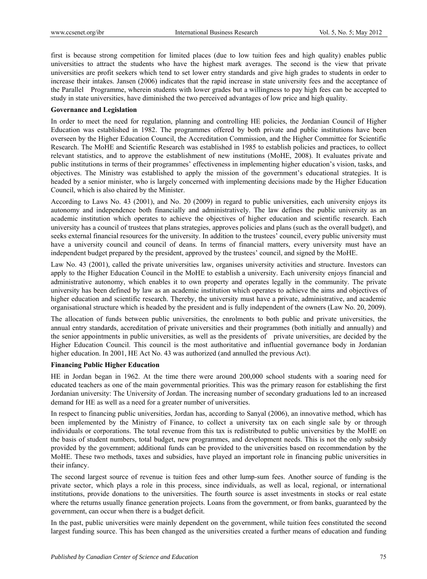first is because strong competition for limited places (due to low tuition fees and high quality) enables public universities to attract the students who have the highest mark averages. The second is the view that private universities are profit seekers which tend to set lower entry standards and give high grades to students in order to increase their intakes. Jansen (2006) indicates that the rapid increase in state university fees and the acceptance of the Parallel Programme, wherein students with lower grades but a willingness to pay high fees can be accepted to study in state universities, have diminished the two perceived advantages of low price and high quality.

## **Governance and Legislation**

In order to meet the need for regulation, planning and controlling HE policies, the Jordanian Council of Higher Education was established in 1982. The programmes offered by both private and public institutions have been overseen by the Higher Education Council, the Accreditation Commission, and the Higher Committee for Scientific Research. The MoHE and Scientific Research was established in 1985 to establish policies and practices, to collect relevant statistics, and to approve the establishment of new institutions (MoHE, 2008). It evaluates private and public institutions in terms of their programmes' effectiveness in implementing higher education's vision, tasks, and objectives. The Ministry was established to apply the mission of the government's educational strategies. It is headed by a senior minister, who is largely concerned with implementing decisions made by the Higher Education Council, which is also chaired by the Minister.

According to Laws No. 43 (2001), and No. 20 (2009) in regard to public universities, each university enjoys its autonomy and independence both financially and administratively. The law defines the public university as an academic institution which operates to achieve the objectives of higher education and scientific research. Each university has a council of trustees that plans strategies, approves policies and plans (such as the overall budget), and seeks external financial resources for the university. In addition to the trustees' council, every public university must have a university council and council of deans. In terms of financial matters, every university must have an independent budget prepared by the president, approved by the trustees' council, and signed by the MoHE.

Law No. 43 (2001), called the private universities law, organises university activities and structure. Investors can apply to the Higher Education Council in the MoHE to establish a university. Each university enjoys financial and administrative autonomy, which enables it to own property and operates legally in the community. The private university has been defined by law as an academic institution which operates to achieve the aims and objectives of higher education and scientific research. Thereby, the university must have a private, administrative, and academic organisational structure which is headed by the president and is fully independent of the owners (Law No. 20, 2009).

The allocation of funds between public universities, the enrolments to both public and private universities, the annual entry standards, accreditation of private universities and their programmes (both initially and annually) and the senior appointments in public universities, as well as the presidents of private universities, are decided by the Higher Education Council. This council is the most authoritative and influential governance body in Jordanian higher education. In 2001, HE Act No. 43 was authorized (and annulled the previous Act).

## **Financing Public Higher Education**

HE in Jordan began in 1962. At the time there were around 200,000 school students with a soaring need for educated teachers as one of the main governmental priorities. This was the primary reason for establishing the first Jordanian university: The University of Jordan. The increasing number of secondary graduations led to an increased demand for HE as well as a need for a greater number of universities.

In respect to financing public universities, Jordan has, according to Sanyal (2006), an innovative method, which has been implemented by the Ministry of Finance, to collect a university tax on each single sale by or through individuals or corporations. The total revenue from this tax is redistributed to public universities by the MoHE on the basis of student numbers, total budget, new programmes, and development needs. This is not the only subsidy provided by the government; additional funds can be provided to the universities based on recommendation by the MoHE. These two methods, taxes and subsidies, have played an important role in financing public universities in their infancy.

The second largest source of revenue is tuition fees and other lump-sum fees. Another source of funding is the private sector, which plays a role in this process, since individuals, as well as local, regional, or international institutions, provide donations to the universities. The fourth source is asset investments in stocks or real estate where the returns usually finance generation projects. Loans from the government, or from banks, guaranteed by the government, can occur when there is a budget deficit.

In the past, public universities were mainly dependent on the government, while tuition fees constituted the second largest funding source. This has been changed as the universities created a further means of education and funding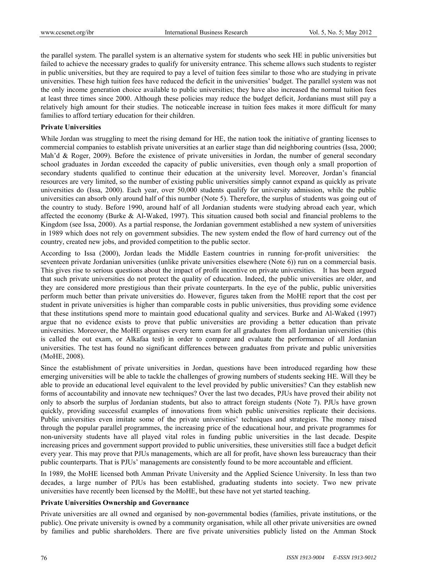the parallel system. The parallel system is an alternative system for students who seek HE in public universities but failed to achieve the necessary grades to qualify for university entrance. This scheme allows such students to register in public universities, but they are required to pay a level of tuition fees similar to those who are studying in private universities. These high tuition fees have reduced the deficit in the universities' budget. The parallel system was not the only income generation choice available to public universities; they have also increased the normal tuition fees at least three times since 2000. Although these policies may reduce the budget deficit, Jordanians must still pay a relatively high amount for their studies. The noticeable increase in tuition fees makes it more difficult for many families to afford tertiary education for their children.

## **Private Universities**

While Jordan was struggling to meet the rising demand for HE, the nation took the initiative of granting licenses to commercial companies to establish private universities at an earlier stage than did neighboring countries (Issa, 2000; Mah'd & Roger, 2009). Before the existence of private universities in Jordan, the number of general secondary school graduates in Jordan exceeded the capacity of public universities, even though only a small proportion of secondary students qualified to continue their education at the university level. Moreover, Jordan's financial resources are very limited, so the number of existing public universities simply cannot expand as quickly as private universities do (Issa, 2000). Each year, over 50,000 students qualify for university admission, while the public universities can absorb only around half of this number (Note 5). Therefore, the surplus of students was going out of the country to study. Before 1990, around half of all Jordanian students were studying abroad each year, which affected the economy (Burke & Al-Waked, 1997). This situation caused both social and financial problems to the Kingdom (see Issa, 2000). As a partial response, the Jordanian government established a new system of universities in 1989 which does not rely on government subsidies. The new system ended the flow of hard currency out of the country, created new jobs, and provided competition to the public sector.

According to Issa (2000), Jordan leads the Middle Eastern countries in running for-profit universities: the seventeen private Jordanian universities (unlike private universities elsewhere (Note 6)) run on a commercial basis. This gives rise to serious questions about the impact of profit incentive on private universities. It has been argued that such private universities do not protect the quality of education. Indeed, the public universities are older, and they are considered more prestigious than their private counterparts. In the eye of the public, public universities perform much better than private universities do. However, figures taken from the MoHE report that the cost per student in private universities is higher than comparable costs in public universities, thus providing some evidence that these institutions spend more to maintain good educational quality and services. Burke and Al-Waked (1997) argue that no evidence exists to prove that public universities are providing a better education than private universities. Moreover, the MoHE organises every term exam for all graduates from all Jordanian universities (this is called the out exam, or Alkafaa test) in order to compare and evaluate the performance of all Jordanian universities. The test has found no significant differences between graduates from private and public universities (MoHE, 2008).

Since the establishment of private universities in Jordan, questions have been introduced regarding how these emerging universities will be able to tackle the challenges of growing numbers of students seeking HE. Will they be able to provide an educational level equivalent to the level provided by public universities? Can they establish new forms of accountability and innovate new techniques? Over the last two decades, PJUs have proved their ability not only to absorb the surplus of Jordanian students, but also to attract foreign students (Note 7). PJUs have grown quickly, providing successful examples of innovations from which public universities replicate their decisions. Public universities even imitate some of the private universities' techniques and strategies. The money raised through the popular parallel programmes, the increasing price of the educational hour, and private programmes for non-university students have all played vital roles in funding public universities in the last decade. Despite increasing prices and government support provided to public universities, these universities still face a budget deficit every year. This may prove that PJUs managements, which are all for profit, have shown less bureaucracy than their public counterparts. That is PJUs' managements are consistently found to be more accountable and efficient.

In 1989, the MoHE licensed both Amman Private University and the Applied Science University. In less than two decades, a large number of PJUs has been established, graduating students into society. Two new private universities have recently been licensed by the MoHE, but these have not yet started teaching.

#### **Private Universities Ownership and Governance**

Private universities are all owned and organised by non-governmental bodies (families, private institutions, or the public). One private university is owned by a community organisation, while all other private universities are owned by families and public shareholders. There are five private universities publicly listed on the Amman Stock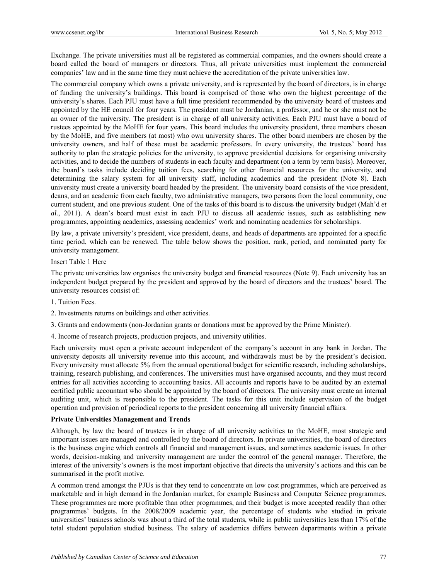Exchange. The private universities must all be registered as commercial companies, and the owners should create a board called the board of managers or directors. Thus, all private universities must implement the commercial companies' law and in the same time they must achieve the accreditation of the private universities law.

The commercial company which owns a private university, and is represented by the board of directors, is in charge of funding the university's buildings. This board is comprised of those who own the highest percentage of the university's shares. Each PJU must have a full time president recommended by the university board of trustees and appointed by the HE council for four years. The president must be Jordanian, a professor, and he or she must not be an owner of the university. The president is in charge of all university activities. Each PJU must have a board of rustees appointed by the MoHE for four years. This board includes the university president, three members chosen by the MoHE, and five members (at most) who own university shares. The other board members are chosen by the university owners, and half of these must be academic professors. In every university, the trustees' board has authority to plan the strategic policies for the university, to approve presidential decisions for organising university activities, and to decide the numbers of students in each faculty and department (on a term by term basis). Moreover, the board's tasks include deciding tuition fees, searching for other financial resources for the university, and determining the salary system for all university staff, including academics and the president (Note 8). Each university must create a university board headed by the president. The university board consists of the vice president, deans, and an academic from each faculty, two administrative managers, two persons from the local community, one current student, and one previous student. One of the tasks of this board is to discuss the university budget (Mah'd *et al.*, 2011). A dean's board must exist in each PJU to discuss all academic issues, such as establishing new programmes, appointing academics, assessing academics' work and nominating academics for scholarships.

By law, a private university's president, vice president, deans, and heads of departments are appointed for a specific time period, which can be renewed. The table below shows the position, rank, period, and nominated party for university management.

Insert Table 1 Here

The private universities law organises the university budget and financial resources (Note 9). Each university has an independent budget prepared by the president and approved by the board of directors and the trustees' board. The university resources consist of:

- 1. Tuition Fees.
- 2. Investments returns on buildings and other activities.
- 3. Grants and endowments (non-Jordanian grants or donations must be approved by the Prime Minister).
- 4. Income of research projects, production projects, and university utilities.

Each university must open a private account independent of the company's account in any bank in Jordan. The university deposits all university revenue into this account, and withdrawals must be by the president's decision. Every university must allocate 5% from the annual operational budget for scientific research, including scholarships, training, research publishing, and conferences. The universities must have organised accounts, and they must record entries for all activities according to accounting basics. All accounts and reports have to be audited by an external certified public accountant who should be appointed by the board of directors. The university must create an internal auditing unit, which is responsible to the president. The tasks for this unit include supervision of the budget operation and provision of periodical reports to the president concerning all university financial affairs.

#### **Private Universities Management and Trends**

Although, by law the board of trustees is in charge of all university activities to the MoHE, most strategic and important issues are managed and controlled by the board of directors. In private universities, the board of directors is the business engine which controls all financial and management issues, and sometimes academic issues. In other words, decision-making and university management are under the control of the general manager. Therefore, the interest of the university's owners is the most important objective that directs the university's actions and this can be summarised in the profit motive.

A common trend amongst the PJUs is that they tend to concentrate on low cost programmes, which are perceived as marketable and in high demand in the Jordanian market, for example Business and Computer Science programmes. These programmes are more profitable than other programmes, and their budget is more accepted readily than other programmes' budgets. In the 2008/2009 academic year, the percentage of students who studied in private universities' business schools was about a third of the total students, while in public universities less than 17% of the total student population studied business. The salary of academics differs between departments within a private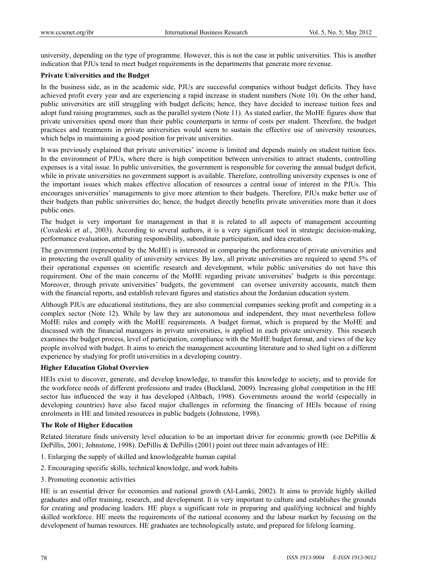university, depending on the type of programme. However, this is not the case in public universities. This is another indication that PJUs tend to meet budget requirements in the departments that generate more revenue.

# **Private Universities and the Budget**

In the business side, as in the academic side, PJUs are successful companies without budget deficits. They have achieved profit every year and are experiencing a rapid increase in student numbers (Note 10). On the other hand, public universities are still struggling with budget deficits; hence, they have decided to increase tuition fees and adopt fund raising programmes, such as the parallel system (Note 11). As stated earlier, the MoHE figures show that private universities spend more than their public counterparts in terms of costs per student. Therefore, the budget practices and treatments in private universities would seem to sustain the effective use of university resources, which helps in maintaining a good position for private universities.

It was previously explained that private universities' income is limited and depends mainly on student tuition fees. In the environment of PJUs, where there is high competition between universities to attract students, controlling expenses is a vital issue. In public universities, the government is responsible for covering the annual budget deficit, while in private universities no government support is available. Therefore, controlling university expenses is one of the important issues which makes effective allocation of resources a central issue of interest in the PJUs. This encourages universities' managements to give more attention to their budgets. Therefore, PJUs make better use of their budgets than public universities do; hence, the budget directly benefits private universities more than it does public ones.

The budget is very important for management in that it is related to all aspects of management accounting (Covaleski *et al*., 2003). According to several authors, it is a very significant tool in strategic decision-making, performance evaluation, attributing responsibility, subordinate participation, and idea creation.

The government (represented by the MoHE) is interested in comparing the performance of private universities and in protecting the overall quality of university services. By law, all private universities are required to spend 5% of their operational expenses on scientific research and development, while public universities do not have this requirement. One of the main concerns of the MoHE regarding private universities' budgets is this percentage. Moreover, through private universities' budgets, the government can oversee university accounts, match them with the financial reports, and establish relevant figures and statistics about the Jordanian education system.

Although PJUs are educational institutions, they are also commercial companies seeking profit and competing in a complex sector (Note 12). While by law they are autonomous and independent, they must nevertheless follow MoHE rules and comply with the MoHE requirements. A budget format, which is prepared by the MoHE and discussed with the financial managers in private universities, is applied in each private university. This research examines the budget process, level of participation, compliance with the MoHE budget format, and views of the key people involved with budget. It aims to enrich the management accounting literature and to shed light on a different experience by studying for profit universities in a developing country.

## **Higher Education Global Overview**

HEIs exist to discover, generate, and develop knowledge, to transfer this knowledge to society, and to provide for the workforce needs of different professions and trades (Buckland, 2009). Increasing global competition in the HE sector has influenced the way it has developed (Altbach, 1998). Governments around the world (especially in developing countries) have also faced major challenges in reforming the financing of HEIs because of rising enrolments in HE and limited resources in public budgets (Johnstone, 1998).

#### **The Role of Higher Education**

Related literature finds university level education to be an important driver for economic growth (see DePillis & DePillis, 2001; Johnstone, 1998). DePillis & DePillis (2001) point out three main advantages of HE:

- 1. Enlarging the supply of skilled and knowledgeable human capital
- 2. Encouraging specific skills, technical knowledge, and work habits
- 3. Promoting economic activities

HE is an essential driver for economies and national growth (Al-Lamki, 2002). It aims to provide highly skilled graduates and offer training, research, and development. It is very important to culture and establishes the grounds for creating and producing leaders. HE plays a significant role in preparing and qualifying technical and highly skilled workforce. HE meets the requirements of the national economy and the labour market by focusing on the development of human resources. HE graduates are technologically astute, and prepared for lifelong learning.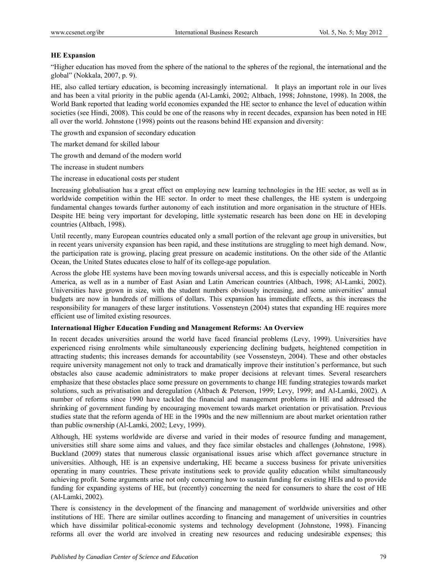# **HE Expansion**

"Higher education has moved from the sphere of the national to the spheres of the regional, the international and the global" (Nokkala, 2007, p. 9).

HE, also called tertiary education, is becoming increasingly international. It plays an important role in our lives and has been a vital priority in the public agenda (Al-Lamki, 2002; Altbach, 1998; Johnstone, 1998). In 2008, the World Bank reported that leading world economies expanded the HE sector to enhance the level of education within societies (see Hindi, 2008). This could be one of the reasons why in recent decades, expansion has been noted in HE all over the world. Johnstone (1998) points out the reasons behind HE expansion and diversity:

The growth and expansion of secondary education

The market demand for skilled labour

The growth and demand of the modern world

The increase in student numbers

The increase in educational costs per student

Increasing globalisation has a great effect on employing new learning technologies in the HE sector, as well as in worldwide competition within the HE sector. In order to meet these challenges, the HE system is undergoing fundamental changes towards further autonomy of each institution and more organisation in the structure of HEIs. Despite HE being very important for developing, little systematic research has been done on HE in developing countries (Altbach, 1998).

Until recently, many European countries educated only a small portion of the relevant age group in universities, but in recent years university expansion has been rapid, and these institutions are struggling to meet high demand. Now, the participation rate is growing, placing great pressure on academic institutions. On the other side of the Atlantic Ocean, the United States educates close to half of its college-age population.

Across the globe HE systems have been moving towards universal access, and this is especially noticeable in North America, as well as in a number of East Asian and Latin American countries (Altbach, 1998; Al-Lamki, 2002). Universities have grown in size, with the student numbers obviously increasing, and some universities' annual budgets are now in hundreds of millions of dollars. This expansion has immediate effects, as this increases the responsibility for managers of these larger institutions. Vossensteyn (2004) states that expanding HE requires more efficient use of limited existing resources.

## **International Higher Education Funding and Management Reforms: An Overview**

In recent decades universities around the world have faced financial problems (Levy, 1999). Universities have experienced rising enrolments while simultaneously experiencing declining budgets, heightened competition in attracting students; this increases demands for accountability (see Vossensteyn, 2004). These and other obstacles require university management not only to track and dramatically improve their institution's performance, but such obstacles also cause academic administrators to make proper decisions at relevant times. Several researchers emphasize that these obstacles place some pressure on governments to change HE funding strategies towards market solutions, such as privatisation and deregulation (Altbach & Peterson, 1999; Levy, 1999; and Al-Lamki, 2002). A number of reforms since 1990 have tackled the financial and management problems in HE and addressed the shrinking of government funding by encouraging movement towards market orientation or privatisation. Previous studies state that the reform agenda of HE in the 1990s and the new millennium are about market orientation rather than public ownership (Al-Lamki, 2002; Levy, 1999).

Although, HE systems worldwide are diverse and varied in their modes of resource funding and management, universities still share some aims and values, and they face similar obstacles and challenges (Johnstone, 1998). Buckland (2009) states that numerous classic organisational issues arise which affect governance structure in universities. Although, HE is an expensive undertaking, HE became a success business for private universities operating in many countries. These private institutions seek to provide quality education whilst simultaneously achieving profit. Some arguments arise not only concerning how to sustain funding for existing HEIs and to provide funding for expanding systems of HE, but (recently) concerning the need for consumers to share the cost of HE (Al-Lamki, 2002).

There is consistency in the development of the financing and management of worldwide universities and other institutions of HE. There are similar outlines according to financing and management of universities in countries which have dissimilar political-economic systems and technology development (Johnstone, 1998). Financing reforms all over the world are involved in creating new resources and reducing undesirable expenses; this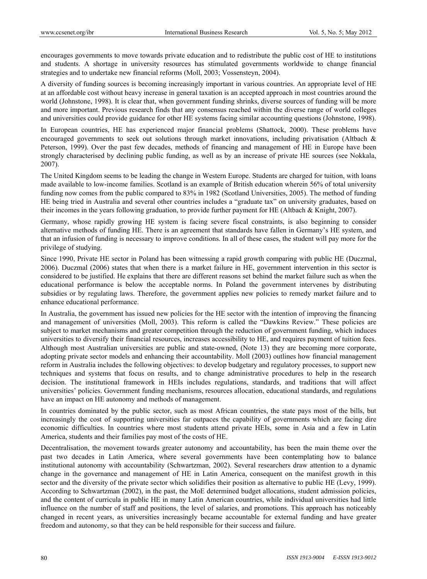encourages governments to move towards private education and to redistribute the public cost of HE to institutions and students. A shortage in university resources has stimulated governments worldwide to change financial strategies and to undertake new financial reforms (Moll, 2003; Vossensteyn, 2004).

A diversity of funding sources is becoming increasingly important in various countries. An appropriate level of HE at an affordable cost without heavy increase in general taxation is an accepted approach in most countries around the world (Johnstone, 1998). It is clear that, when government funding shrinks, diverse sources of funding will be more and more important. Previous research finds that any consensus reached within the diverse range of world colleges and universities could provide guidance for other HE systems facing similar accounting questions (Johnstone, 1998).

In European countries, HE has experienced major financial problems (Shattock, 2000). These problems have encouraged governments to seek out solutions through market innovations, including privatisation (Altbach & Peterson, 1999). Over the past few decades, methods of financing and management of HE in Europe have been strongly characterised by declining public funding, as well as by an increase of private HE sources (see Nokkala, 2007).

The United Kingdom seems to be leading the change in Western Europe. Students are charged for tuition, with loans made available to low-income families. Scotland is an example of British education wherein 56% of total university funding now comes from the public compared to 83% in 1982 (Scotland Universities, 2005). The method of funding HE being tried in Australia and several other countries includes a "graduate tax" on university graduates, based on their incomes in the years following graduation, to provide further payment for HE (Altbach & Knight, 2007).

Germany, whose rapidly growing HE system is facing severe fiscal constraints, is also beginning to consider alternative methods of funding HE. There is an agreement that standards have fallen in Germany's HE system, and that an infusion of funding is necessary to improve conditions. In all of these cases, the student will pay more for the privilege of studying.

Since 1990, Private HE sector in Poland has been witnessing a rapid growth comparing with public HE (Duczmal, 2006). Duczmal (2006) states that when there is a market failure in HE, government intervention in this sector is considered to be justified. He explains that there are different reasons set behind the market failure such as when the educational performance is below the acceptable norms. In Poland the government intervenes by distributing subsidies or by regulating laws. Therefore, the government applies new policies to remedy market failure and to enhance educational performance.

In Australia, the government has issued new policies for the HE sector with the intention of improving the financing and management of universities (Moll, 2003). This reform is called the "Dawkins Review." These policies are subject to market mechanisms and greater competition through the reduction of government funding, which induces universities to diversify their financial resources, increases accessibility to HE, and requires payment of tuition fees. Although most Australian universities are public and state-owned, (Note 13) they are becoming more corporate, adopting private sector models and enhancing their accountability. Moll (2003) outlines how financial management reform in Australia includes the following objectives: to develop budgetary and regulatory processes, to support new techniques and systems that focus on results, and to change administrative procedures to help in the research decision. The institutional framework in HEIs includes regulations, standards, and traditions that will affect universities' policies. Government funding mechanisms, resources allocation, educational standards, and regulations have an impact on HE autonomy and methods of management.

In countries dominated by the public sector, such as most African countries, the state pays most of the bills, but increasingly the cost of supporting universities far outpaces the capability of governments which are facing dire economic difficulties. In countries where most students attend private HEIs, some in Asia and a few in Latin America, students and their families pay most of the costs of HE.

Decentralisation, the movement towards greater autonomy and accountability, has been the main theme over the past two decades in Latin America, where several governments have been contemplating how to balance institutional autonomy with accountability (Schwartzman, 2002). Several researchers draw attention to a dynamic change in the governance and management of HE in Latin America, consequent on the manifest growth in this sector and the diversity of the private sector which solidifies their position as alternative to public HE (Levy, 1999). According to Schwartzman (2002), in the past, the MoE determined budget allocations, student admission policies, and the content of curricula in public HE in many Latin American countries, while individual universities had little influence on the number of staff and positions, the level of salaries, and promotions. This approach has noticeably changed in recent years, as universities increasingly became accountable for external funding and have greater freedom and autonomy, so that they can be held responsible for their success and failure.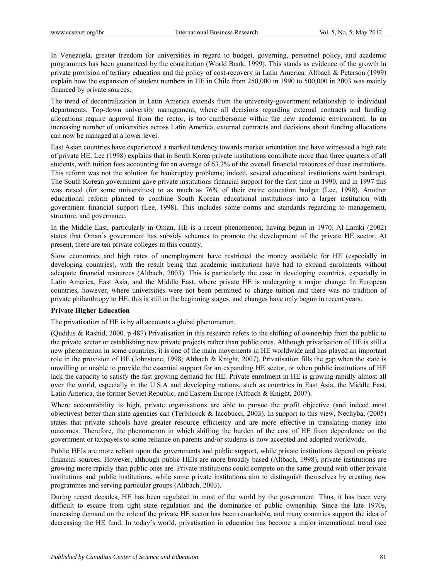In Venezuela, greater freedom for universities in regard to budget, governing, personnel policy, and academic programmes has been guaranteed by the constitution (World Bank, 1999). This stands as evidence of the growth in private provision of tertiary education and the policy of cost-recovery in Latin America. Altbach & Peterson (1999) explain how the expansion of student numbers in HE in Chile from 250,000 in 1990 to 500,000 in 2003 was mainly financed by private sources.

The trend of decentralization in Latin America extends from the university-government relationship to individual departments. Top-down university management, where all decisions regarding external contracts and funding allocations require approval from the rector, is too cumbersome within the new academic environment. In an increasing number of universities across Latin America, external contracts and decisions about funding allocations can now be managed at a lower level.

East Asian countries have experienced a marked tendency towards market orientation and have witnessed a high rate of private HE. Lee (1998) explains that in South Korea private institutions contribute more than three quarters of all students, with tuition fees accounting for an average of 63.2% of the overall financial resources of these institutions. This reform was not the solution for bankruptcy problems; indeed, several educational institutions went bankrupt. The South Korean government gave private institutions financial support for the first time in 1990, and in 1997 this was raised (for some universities) to as much as 76% of their entire education budget (Lee, 1998). Another educational reform planned to combine South Korean educational institutions into a larger institution with government financial support (Lee, 1998). This includes some norms and standards regarding to management, structure, and governance.

In the Middle East, particularly in Oman, HE is a recent phenomenon, having begun in 1970. Al-Lamki (2002) states that Oman's government has subsidy schemes to promote the development of the private HE sector. At present, there are ten private colleges in this country.

Slow economies and high rates of unemployment have restricted the money available for HE (especially in developing countries), with the result being that academic institutions have had to expand enrolments without adequate financial resources (Altbach, 2003). This is particularly the case in developing countries, especially in Latin America, East Asia, and the Middle East, where private HE is undergoing a major change. In European countries, however, where universities were not been permitted to charge tuition and there was no tradition of private philanthropy to HE, this is still in the beginning stages, and changes have only begun in recent years.

## **Private Higher Education**

The privatisation of HE is by all accounts a global phenomenon.

(Quddus & Rashid, 2000. p 487) Privatisation in this research refers to the shifting of ownership from the public to the private sector or establishing new private projects rather than public ones. Although privatisation of HE is still a new phenomenon in some countries, it is one of the main movements in HE worldwide and has played an important role in the provision of HE (Johnstone, 1998; Altbach & Knight, 2007). Privatisation fills the gap when the state is unwilling or unable to provide the essential support for an expanding HE sector, or when public institutions of HE lack the capacity to satisfy the fast growing demand for HE. Private enrolment in HE is growing rapidly almost all over the world, especially in the U.S.A and developing nations, such as countries in East Asia, the Middle East, Latin America, the former Soviet Republic, and Eastern Europe (Altbach & Knight, 2007).

Where accountability is high, private organisations are able to pursue the profit objective (and indeed most objectives) better than state agencies can (Terbilcock & Iacobucci, 2003). In support to this view, Nechyba, (2005) states that private schools have greater resource efficiency and are more effective in translating money into outcomes. Therefore, the phenomenon in which shifting the burden of the cost of HE from dependence on the government or taxpayers to some reliance on parents and/or students is now accepted and adopted worldwide.

Public HEIs are more reliant upon the governments and public support, while private institutions depend on private financial sources. However, although public HEIs are more broadly based (Altbach, 1998), private institutions are growing more rapidly than public ones are. Private institutions could compete on the same ground with other private institutions and public institutions, while some private institutions aim to distinguish themselves by creating new programmes and serving particular groups (Altbach, 2003).

During recent decades, HE has been regulated in most of the world by the government. Thus, it has been very difficult to escape from tight state regulation and the dominance of public ownership. Since the late 1970s, increasing demand on the role of the private HE sector has been remarkable, and many countries support the idea of decreasing the HE fund. In today's world, privatisation in education has become a major international trend (see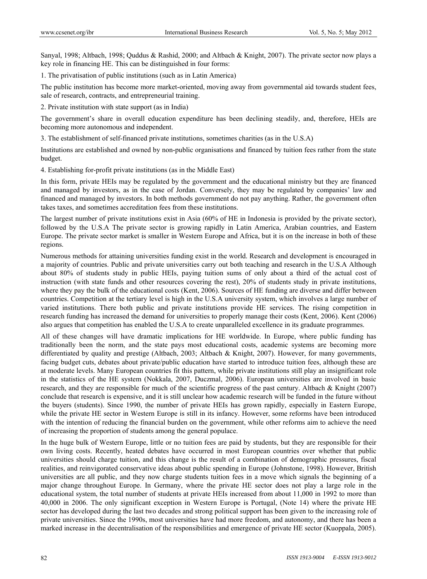Sanyal, 1998; Altbach, 1998; Quddus & Rashid, 2000; and Altbach & Knight, 2007). The private sector now plays a key role in financing HE. This can be distinguished in four forms:

1. The privatisation of public institutions (such as in Latin America)

The public institution has become more market-oriented, moving away from governmental aid towards student fees, sale of research, contracts, and entrepreneurial training.

2. Private institution with state support (as in India)

The government's share in overall education expenditure has been declining steadily, and, therefore, HEIs are becoming more autonomous and independent.

3. The establishment of self-financed private institutions, sometimes charities (as in the U.S.A)

Institutions are established and owned by non-public organisations and financed by tuition fees rather from the state budget.

4. Establishing for-profit private institutions (as in the Middle East)

In this form, private HEIs may be regulated by the government and the educational ministry but they are financed and managed by investors, as in the case of Jordan. Conversely, they may be regulated by companies' law and financed and managed by investors. In both methods government do not pay anything. Rather, the government often takes taxes, and sometimes accreditation fees from these institutions.

The largest number of private institutions exist in Asia (60% of HE in Indonesia is provided by the private sector), followed by the U.S.A The private sector is growing rapidly in Latin America, Arabian countries, and Eastern Europe. The private sector market is smaller in Western Europe and Africa, but it is on the increase in both of these regions.

Numerous methods for attaining universities funding exist in the world. Research and development is encouraged in a majority of countries. Public and private universities carry out both teaching and research in the U.S.A Although about 80% of students study in public HEIs, paying tuition sums of only about a third of the actual cost of instruction (with state funds and other resources covering the rest), 20% of students study in private institutions, where they pay the bulk of the educational costs (Kent, 2006). Sources of HE funding are diverse and differ between countries. Competition at the tertiary level is high in the U.S.A university system, which involves a large number of varied institutions. There both public and private institutions provide HE services. The rising competition in research funding has increased the demand for universities to properly manage their costs (Kent, 2006). Kent (2006) also argues that competition has enabled the U.S.A to create unparalleled excellence in its graduate programmes.

All of these changes will have dramatic implications for HE worldwide. In Europe, where public funding has traditionally been the norm, and the state pays most educational costs, academic systems are becoming more differentiated by quality and prestige (Altbach, 2003; Altbach & Knight, 2007). However, for many governments, facing budget cuts, debates about private/public education have started to introduce tuition fees, although these are at moderate levels. Many European countries fit this pattern, while private institutions still play an insignificant role in the statistics of the HE system (Nokkala, 2007, Duczmal, 2006). European universities are involved in basic research, and they are responsible for much of the scientific progress of the past century. Altbach & Knight (2007) conclude that research is expensive, and it is still unclear how academic research will be funded in the future without the buyers (students). Since 1990, the number of private HEIs has grown rapidly, especially in Eastern Europe, while the private HE sector in Western Europe is still in its infancy. However, some reforms have been introduced with the intention of reducing the financial burden on the government, while other reforms aim to achieve the need of increasing the proportion of students among the general populace.

In the huge bulk of Western Europe, little or no tuition fees are paid by students, but they are responsible for their own living costs. Recently, heated debates have occurred in most European countries over whether that public universities should charge tuition, and this change is the result of a combination of demographic pressures, fiscal realities, and reinvigorated conservative ideas about public spending in Europe (Johnstone, 1998). However, British universities are all public, and they now charge students tuition fees in a move which signals the beginning of a major change throughout Europe. In Germany, where the private HE sector does not play a large role in the educational system, the total number of students at private HEIs increased from about 11,000 in 1992 to more than 40,000 in 2006. The only significant exception in Western Europe is Portugal, (Note 14) where the private HE sector has developed during the last two decades and strong political support has been given to the increasing role of private universities. Since the 1990s, most universities have had more freedom, and autonomy, and there has been a marked increase in the decentralisation of the responsibilities and emergence of private HE sector (Kuoppala, 2005).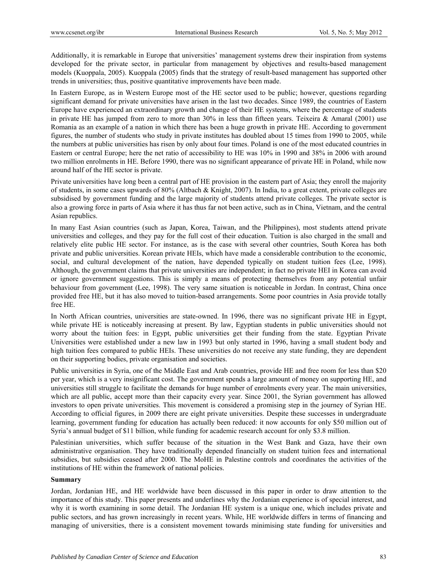Additionally, it is remarkable in Europe that universities' management systems drew their inspiration from systems developed for the private sector, in particular from management by objectives and results-based management models (Kuoppala, 2005). Kuoppala (2005) finds that the strategy of result-based management has supported other trends in universities; thus, positive quantitative improvements have been made.

In Eastern Europe, as in Western Europe most of the HE sector used to be public; however, questions regarding significant demand for private universities have arisen in the last two decades. Since 1989, the countries of Eastern Europe have experienced an extraordinary growth and change of their HE systems, where the percentage of students in private HE has jumped from zero to more than 30% in less than fifteen years. Teixeira & Amaral (2001) use Romania as an example of a nation in which there has been a huge growth in private HE. According to government figures, the number of students who study in private institutes has doubled about 15 times from 1990 to 2005, while the numbers at public universities has risen by only about four times. Poland is one of the most educated countries in Eastern or central Europe; here the net ratio of accessibility to HE was 10% in 1990 and 38% in 2006 with around two million enrolments in HE. Before 1990, there was no significant appearance of private HE in Poland, while now around half of the HE sector is private.

Private universities have long been a central part of HE provision in the eastern part of Asia; they enroll the majority of students, in some cases upwards of 80% (Altbach & Knight, 2007). In India, to a great extent, private colleges are subsidised by government funding and the large majority of students attend private colleges. The private sector is also a growing force in parts of Asia where it has thus far not been active, such as in China, Vietnam, and the central Asian republics.

In many East Asian countries (such as Japan, Korea, Taiwan, and the Philippines), most students attend private universities and colleges, and they pay for the full cost of their education. Tuition is also charged in the small and relatively elite public HE sector. For instance, as is the case with several other countries, South Korea has both private and public universities. Korean private HEIs, which have made a considerable contribution to the economic, social, and cultural development of the nation, have depended typically on student tuition fees (Lee, 1998). Although, the government claims that private universities are independent; in fact no private HEI in Korea can avoid or ignore government suggestions. This is simply a means of protecting themselves from any potential unfair behaviour from government (Lee, 1998). The very same situation is noticeable in Jordan. In contrast, China once provided free HE, but it has also moved to tuition-based arrangements. Some poor countries in Asia provide totally free HE.

In North African countries, universities are state-owned. In 1996, there was no significant private HE in Egypt, while private HE is noticeably increasing at present. By law, Egyptian students in public universities should not worry about the tuition fees: in Egypt, public universities get their funding from the state. Egyptian Private Universities were established under a new law in 1993 but only started in 1996, having a small student body and high tuition fees compared to public HEIs. These universities do not receive any state funding, they are dependent on their supporting bodies, private organisation and societies.

Public universities in Syria, one of the Middle East and Arab countries, provide HE and free room for less than \$20 per year, which is a very insignificant cost. The government spends a large amount of money on supporting HE, and universities still struggle to facilitate the demands for huge number of enrolments every year. The main universities, which are all public, accept more than their capacity every year. Since 2001, the Syrian government has allowed investors to open private universities. This movement is considered a promising step in the journey of Syrian HE. According to official figures, in 2009 there are eight private universities. Despite these successes in undergraduate learning, government funding for education has actually been reduced: it now accounts for only \$50 million out of Syria's annual budget of \$11 billion, while funding for academic research account for only \$3.8 million.

Palestinian universities, which suffer because of the situation in the West Bank and Gaza, have their own administrative organisation. They have traditionally depended financially on student tuition fees and international subsidies, but subsidies ceased after 2000. The MoHE in Palestine controls and coordinates the activities of the institutions of HE within the framework of national policies.

## **Summary**

Jordan, Jordanian HE, and HE worldwide have been discussed in this paper in order to draw attention to the importance of this study. This paper presents and underlines why the Jordanian experience is of special interest, and why it is worth examining in some detail. The Jordanian HE system is a unique one, which includes private and public sectors, and has grown increasingly in recent years. While, HE worldwide differs in terms of financing and managing of universities, there is a consistent movement towards minimising state funding for universities and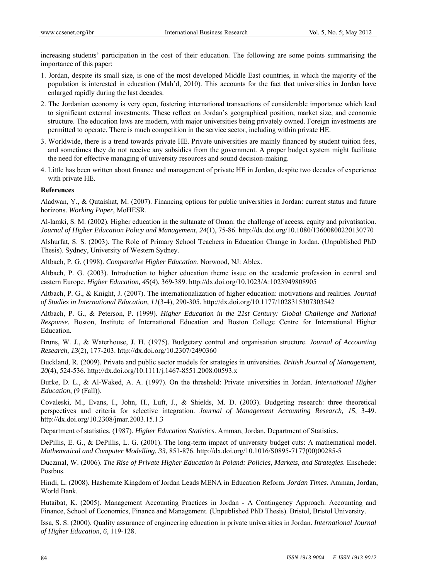increasing students' participation in the cost of their education. The following are some points summarising the importance of this paper:

- 1. Jordan, despite its small size, is one of the most developed Middle East countries, in which the majority of the population is interested in education (Mah'd, 2010). This accounts for the fact that universities in Jordan have enlarged rapidly during the last decades.
- 2. The Jordanian economy is very open, fostering international transactions of considerable importance which lead to significant external investments. These reflect on Jordan's geographical position, market size, and economic structure. The education laws are modern, with major universities being privately owned. Foreign investments are permitted to operate. There is much competition in the service sector, including within private HE.
- 3. Worldwide, there is a trend towards private HE. Private universities are mainly financed by student tuition fees, and sometimes they do not receive any subsidies from the government. A proper budget system might facilitate the need for effective managing of university resources and sound decision-making.
- 4. Little has been written about finance and management of private HE in Jordan, despite two decades of experience with private HE.

# **References**

Aladwan, Y., & Qutaishat, M. (2007). Financing options for public universities in Jordan: current status and future horizons. *Working Paper*, MoHESR.

Al-lamki, S. M. (2002). Higher education in the sultanate of Oman: the challenge of access, equity and privatisation. *Journal of Higher Education Policy and Management, 24*(1), 75-86. http://dx.doi.org/10.1080/13600800220130770

Alshurfat, S. S. (2003). The Role of Primary School Teachers in Education Change in Jordan. (Unpublished PhD Thesis). Sydney, University of Western Sydney.

Altbach, P. G. (1998). *Comparative Higher Education*. Norwood, NJ: Ablex.

Altbach, P. G. (2003). Introduction to higher education theme issue on the academic profession in central and eastern Europe. *Higher Education, 45*(4), 369-389. http://dx.doi.org/10.1023/A:1023949808905

Altbach, P. G., & Knight, J. (2007). The internationalization of higher education: motivations and realities. *Journal of Studies in International Education, 11*(3-4), 290-305. http://dx.doi.org/10.1177/1028315307303542

Altbach, P. G., & Peterson, P. (1999). *Higher Education in the 21st Century: Global Challenge and National Response*. Boston, Institute of International Education and Boston College Centre for International Higher Education.

Bruns, W. J., & Waterhouse, J. H. (1975). Budgetary control and organisation structure. *Journal of Accounting Research, 13*(2), 177-203. http://dx.doi.org/10.2307/2490360

Buckland, R. (2009). Private and public sector models for strategies in universities. *British Journal of Management, 20*(4), 524-536. http://dx.doi.org/10.1111/j.1467-8551.2008.00593.x

Burke, D. L., & Al-Waked, A. A. (1997). On the threshold: Private universities in Jordan. *International Higher Education*, (9 (Fall)).

Covaleski, M., Evans, I., John, H., Luft, J., & Shields, M. D. (2003). Budgeting research: three theoretical perspectives and criteria for selective integration. *Journal of Management Accounting Research, 15*, 3-49. http://dx.doi.org/10.2308/jmar.2003.15.1.3

Department of statistics. (1987). *Higher Education Statistics*. Amman, Jordan, Department of Statistics.

DePillis, E. G., & DePillis, L. G. (2001). The long-term impact of university budget cuts: A mathematical model. *Mathematical and Computer Modelling, 33*, 851-876. http://dx.doi.org/10.1016/S0895-7177(00)00285-5

Duczmal, W. (2006). *The Rise of Private Higher Education in Poland: Policies, Markets, and Strategies*. Enschede: Postbus.

Hindi, L. (2008). Hashemite Kingdom of Jordan Leads MENA in Education Reform. *Jordan Times*. Amman, Jordan, World Bank.

Hutaibat, K. (2005). Management Accounting Practices in Jordan - A Contingency Approach. Accounting and Finance, School of Economics, Finance and Management. (Unpublished PhD Thesis). Bristol, Bristol University.

Issa, S. S. (2000). Quality assurance of engineering education in private universities in Jordan. *International Journal of Higher Education, 6*, 119-128.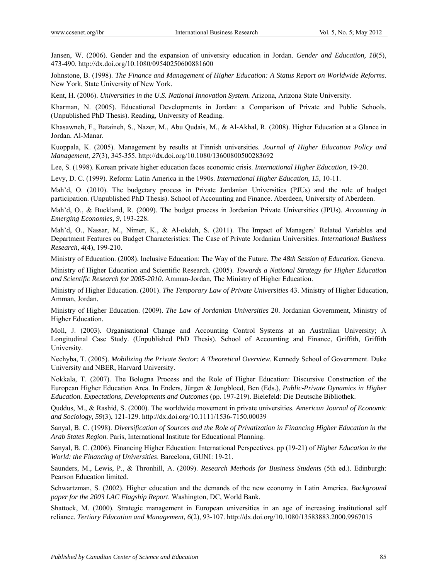Jansen, W. (2006). Gender and the expansion of university education in Jordan. *Gender and Education, 18*(5), 473-490. http://dx.doi.org/10.1080/09540250600881600

Johnstone, B. (1998). *The Finance and Management of Higher Education: A Status Report on Worldwide Reforms*. New York, State University of New York.

Kent, H. (2006). *Universities in the U.S. National Innovation System*. Arizona, Arizona State University.

Kharman, N. (2005). Educational Developments in Jordan: a Comparison of Private and Public Schools. (Unpublished PhD Thesis). Reading, University of Reading.

Khasawneh, F., Bataineh, S., Nazer, M., Abu Qudais, M., & Al-Akhal, R. (2008). Higher Education at a Glance in Jordan. Al-Manar.

Kuoppala, K. (2005). Management by results at Finnish universities. *Journal of Higher Education Policy and Management, 27*(3), 345-355. http://dx.doi.org/10.1080/13600800500283692

Lee, S. (1998). Korean private higher education faces economic crisis. *International Higher Education*, 19-20.

Levy, D. C. (1999). Reform: Latin America in the 1990s. *International Higher Education, 15*, 10-11.

Mah'd, O. (2010). The budgetary process in Private Jordanian Universities (PJUs) and the role of budget participation. (Unpublished PhD Thesis). School of Accounting and Finance. Aberdeen, University of Aberdeen.

Mah'd, O., & Buckland, R. (2009). The budget process in Jordanian Private Universities (JPUs). *Accounting in Emerging Economies, 9*, 193-228.

Mah'd, O., Nassar, M., Nimer, K., & Al-okdeh, S. (2011). The Impact of Managers' Related Variables and Department Features on Budget Characteristics: The Case of Private Jordanian Universities. *International Business Research, 4*(4), 199-210.

Ministry of Education. (2008). Inclusive Education: The Way of the Future. *The 48th Session of Education*. Geneva.

Ministry of Higher Education and Scientific Research. (2005). *Towards a National Strategy for Higher Education and Scientific Research for 2005-2010*. Amman-Jordan, The Ministry of Higher Education.

Ministry of Higher Education. (2001). *The Temporary Law of Private Universities* 43. Ministry of Higher Education, Amman, Jordan.

Ministry of Higher Education. (2009). *The Law of Jordanian Universities* 20. Jordanian Government, Ministry of Higher Education.

Moll, J. (2003). Organisational Change and Accounting Control Systems at an Australian University; A Longitudinal Case Study. (Unpublished PhD Thesis). School of Accounting and Finance, Griffith, Griffith University.

Nechyba, T. (2005). *Mobilizing the Private Sector: A Theoretical Overview*. Kennedy School of Government. Duke University and NBER, Harvard University.

Nokkala, T. (2007). The Bologna Process and the Role of Higher Education: Discursive Construction of the European Higher Education Area. In Enders, Jürgen & Jongbloed, Ben (Eds.), *Public-Private Dynamics in Higher Education. Expectations, Developments and Outcomes* (pp. 197-219). Bielefeld: Die Deutsche Bibliothek.

Quddus, M., & Rashid, S. (2000). The worldwide movement in private universities. *American Journal of Economic and Sociology, 59*(3), 121-129. http://dx.doi.org/10.1111/1536-7150.00039

Sanyal, B. C. (1998). *Diversification of Sources and the Role of Privatization in Financing Higher Education in the Arab States Region*. Paris, International Institute for Educational Planning.

Sanyal, B. C. (2006). Financing Higher Education: International Perspectives. pp (19-21) of *Higher Education in the World: the Financing of Universities*. Barcelona, GUNI: 19-21.

Saunders, M., Lewis, P., & Thronhill, A. (2009). *Research Methods for Business Students* (5th ed.). Edinburgh: Pearson Education limited.

Schwartzman, S. (2002). Higher education and the demands of the new economy in Latin America. *Background paper for the 2003 LAC Flagship Report*. Washington, DC, World Bank.

Shattock, M. (2000). Strategic management in European universities in an age of increasing institutional self reliance. *Tertiary Education and Management, 6*(2), 93-107. http://dx.doi.org/10.1080/13583883.2000.9967015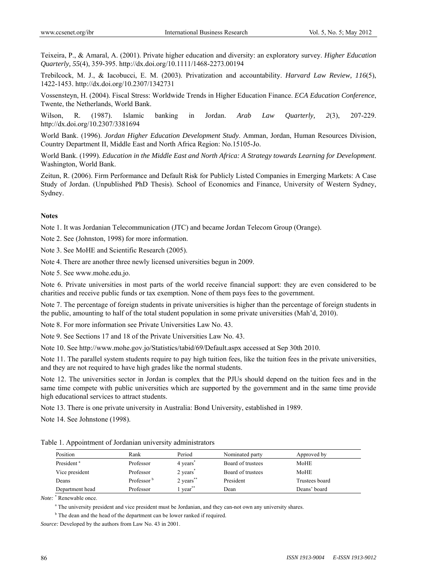Teixeira, P., & Amaral, A. (2001). Private higher education and diversity: an exploratory survey. *Higher Education Quarterly, 55*(4), 359-395. http://dx.doi.org/10.1111/1468-2273.00194

Trebilcock, M. J., & Iacobucci, E. M. (2003). Privatization and accountability. *Harvard Law Review, 116*(5), 1422-1453. http://dx.doi.org/10.2307/1342731

Vossensteyn, H. (2004). Fiscal Stress: Worldwide Trends in Higher Education Finance. *ECA Education Conference*, Twente, the Netherlands, World Bank.

Wilson, R. (1987). Islamic banking in Jordan. *Arab Law Quarterly, 2*(3), 207-229. http://dx.doi.org/10.2307/3381694

World Bank. (1996). *Jordan Higher Education Development Study*. Amman, Jordan, Human Resources Division, Country Department II, Middle East and North Africa Region: No.15105-Jo.

World Bank. (1999). *Education in the Middle East and North Africa: A Strategy towards Learning for Development*. Washington, World Bank.

Zeitun, R. (2006). Firm Performance and Default Risk for Publicly Listed Companies in Emerging Markets: A Case Study of Jordan. (Unpublished PhD Thesis). School of Economics and Finance, University of Western Sydney, Sydney.

#### **Notes**

Note 1. It was Jordanian Telecommunication (JTC) and became Jordan Telecom Group (Orange).

Note 2. See (Johnston, 1998) for more information.

Note 3. See MoHE and Scientific Research (2005).

Note 4. There are another three newly licensed universities begun in 2009.

Note 5. See www.mohe.edu.jo.

Note 6. Private universities in most parts of the world receive financial support: they are even considered to be charities and receive public funds or tax exemption. None of them pays fees to the government.

Note 7. The percentage of foreign students in private universities is higher than the percentage of foreign students in the public, amounting to half of the total student population in some private universities (Mah'd, 2010).

Note 8. For more information see Private Universities Law No. 43.

Note 9. See Sections 17 and 18 of the Private Universities Law No. 43.

Note 10. See http://www.mohe.gov.jo/Statistics/tabid/69/Default.aspx accessed at Sep 30th 2010.

Note 11. The parallel system students require to pay high tuition fees, like the tuition fees in the private universities, and they are not required to have high grades like the normal students.

Note 12. The universities sector in Jordan is complex that the PJUs should depend on the tuition fees and in the same time compete with public universities which are supported by the government and in the same time provide high educational services to attract students.

Note 13. There is one private university in Australia: Bond University, established in 1989.

Note 14. See Johnstone (1998).

Table 1. Appointment of Jordanian university administrators

| Position               | Rank                   | Period     | Nominated party   | Approved by    |
|------------------------|------------------------|------------|-------------------|----------------|
| President <sup>a</sup> | Professor              | 4 years    | Board of trustees | MoHE           |
| Vice president         | Professor              | 2 years    | Board of trustees | MoHE           |
| Deans                  | Professor <sup>o</sup> | 2 years    | President         | Trustees board |
| Department head        | Professor              | **<br>vear | Dean              | Deans' board   |

*Note:* \* Renewable once.

<sup>a</sup> The university president and vice president must be Jordanian, and they can-not own any university shares.

<sup>b</sup> The dean and the head of the department can be lower ranked if required.

*Source:* Developed by the authors from Law No. 43 in 2001.